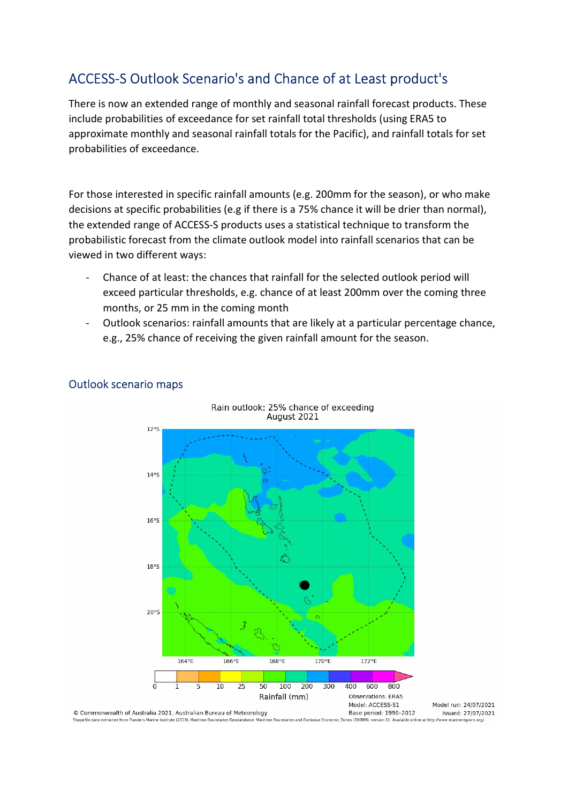# ACCESS-S Outlook Scenario's and Chance of at Least product's

There is now an extended range of monthly and seasonal rainfall forecast products. These include probabilities of exceedance for set rainfall total thresholds (using ERA5 to approximate monthly and seasonal rainfall totals for the Pacific), and rainfall totals for set probabilities of exceedance.

For those interested in specific rainfall amounts (e.g. 200mm for the season), or who make decisions at specific probabilities (e.g if there is a 75% chance it will be drier than normal), the extended range of ACCESS-S products uses a statistical technique to transform the probabilistic forecast from the climate outlook model into rainfall scenarios that can be viewed in two different ways:

- Chance of at least: the chances that rainfall for the selected outlook period will exceed particular thresholds, e.g. chance of at least 200mm over the coming three months, or 25 mm in the coming month
- Outlook scenarios: rainfall amounts that are likely at a particular percentage chance, e.g., 25% chance of receiving the given rainfall amount for the season.



### Outlook scenario maps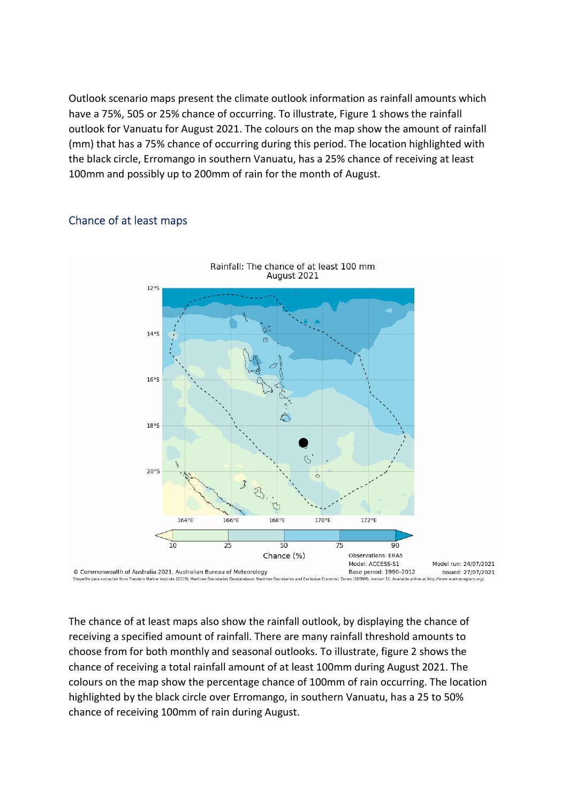Outlook scenario maps present the climate outlook information as rainfall amounts which have a 75%, 505 or 25% chance of occurring. To illustrate, Figure 1 shows the rainfall outlook for Vanuatu for August 2021. The colours on the map show the amount of rainfall (mm) that has a 75% chance of occurring during this period. The location highlighted with the black circle, Erromango in southern Vanuatu, has a 25% chance of receiving at least 100mm and possibly up to 200mm of rain for the month of August.

#### Chance of at least maps



The chance of at least maps also show the rainfall outlook, by displaying the chance of receiving a specified amount of rainfall. There are many rainfall threshold amounts to choose from for both monthly and seasonal outlooks. To illustrate, figure 2 shows the chance of receiving a total rainfall amount of at least 100mm during August 2021. The colours on the map show the percentage chance of 100mm of rain occurring. The location highlighted by the black circle over Erromango, in southern Vanuatu, has a 25 to 50% chance of receiving 100mm of rain during August.